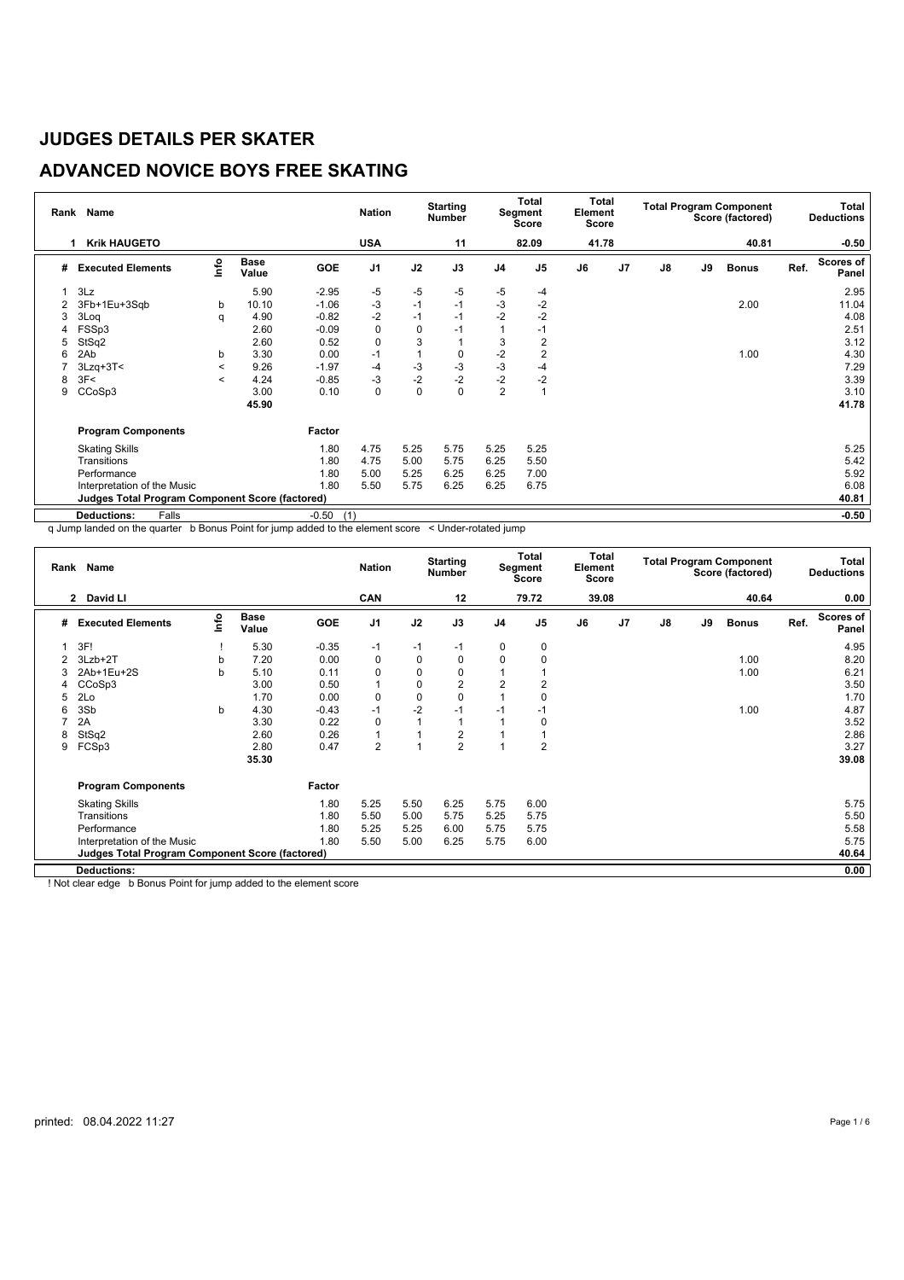# **ADVANCED NOVICE BOYS FREE SKATING**

| Rank | <b>Name</b>                                            |         |                      |                | <b>Nation</b>  |              | <b>Starting</b><br>Number |                | Total<br>Segment<br>Score | Total<br>Element<br>Score |                |               |    | <b>Total Program Component</b><br>Score (factored) |      | <b>Total</b><br><b>Deductions</b> |
|------|--------------------------------------------------------|---------|----------------------|----------------|----------------|--------------|---------------------------|----------------|---------------------------|---------------------------|----------------|---------------|----|----------------------------------------------------|------|-----------------------------------|
|      | <b>Krik HAUGETO</b>                                    |         |                      |                | <b>USA</b>     |              | 11                        |                | 82.09                     | 41.78                     |                |               |    | 40.81                                              |      | $-0.50$                           |
| #    | <b>Executed Elements</b>                               | lnfo    | <b>Base</b><br>Value | GOE            | J <sub>1</sub> | J2           | J3                        | J <sub>4</sub> | J <sub>5</sub>            | J6                        | J <sub>7</sub> | $\mathsf{J}8$ | J9 | <b>Bonus</b>                                       | Ref. | <b>Scores of</b><br>Panel         |
|      | 3Lz                                                    |         | 5.90                 | $-2.95$        | -5             | -5           | $-5$                      | $-5$           | -4                        |                           |                |               |    |                                                    |      | 2.95                              |
| 2    | 3Fb+1Eu+3Sqb                                           | b       | 10.10                | $-1.06$        | -3             | $-1$         | $-1$                      | $-3$           | $-2$                      |                           |                |               |    | 2.00                                               |      | 11.04                             |
| 3    | 3Log                                                   | q       | 4.90                 | $-0.82$        | $-2$           | $-1$         | $-1$                      | $-2$           | $-2$                      |                           |                |               |    |                                                    |      | 4.08                              |
| 4    | FSSp3                                                  |         | 2.60                 | $-0.09$        | 0              | $\mathbf 0$  | $-1$                      |                | $-1$                      |                           |                |               |    |                                                    |      | 2.51                              |
| 5    | StSq2                                                  |         | 2.60                 | 0.52           | 0              | 3            |                           | 3              | 2                         |                           |                |               |    |                                                    |      | 3.12                              |
| 6    | 2Ab                                                    | b       | 3.30                 | 0.00           | $-1$           | $\mathbf{1}$ | 0                         | $-2$           | $\overline{2}$            |                           |                |               |    | 1.00                                               |      | 4.30                              |
|      | $3Lzq+3T<$                                             | $\,<\,$ | 9.26                 | $-1.97$        | -4             | $-3$         | $-3$                      | $-3$           | -4                        |                           |                |               |    |                                                    |      | 7.29                              |
| 8    | 3F<                                                    | $\,<\,$ | 4.24                 | $-0.85$        | -3             | $-2$         | $-2$                      | $-2$           | $-2$                      |                           |                |               |    |                                                    |      | 3.39                              |
| 9    | CCoSp3                                                 |         | 3.00                 | 0.10           | $\pmb{0}$      | 0            | $\mathbf 0$               | $\overline{2}$ |                           |                           |                |               |    |                                                    |      | 3.10                              |
|      |                                                        |         | 45.90                |                |                |              |                           |                |                           |                           |                |               |    |                                                    |      | 41.78                             |
|      | <b>Program Components</b>                              |         |                      | Factor         |                |              |                           |                |                           |                           |                |               |    |                                                    |      |                                   |
|      | <b>Skating Skills</b>                                  |         |                      | 1.80           | 4.75           | 5.25         | 5.75                      | 5.25           | 5.25                      |                           |                |               |    |                                                    |      | 5.25                              |
|      | Transitions                                            |         |                      | 1.80           | 4.75           | 5.00         | 5.75                      | 6.25           | 5.50                      |                           |                |               |    |                                                    |      | 5.42                              |
|      | Performance                                            |         |                      | 1.80           | 5.00           | 5.25         | 6.25                      | 6.25           | 7.00                      |                           |                |               |    |                                                    |      | 5.92                              |
|      | Interpretation of the Music                            |         |                      | 1.80           | 5.50           | 5.75         | 6.25                      | 6.25           | 6.75                      |                           |                |               |    |                                                    |      | 6.08                              |
|      | <b>Judges Total Program Component Score (factored)</b> |         |                      |                |                |              |                           |                |                           |                           |                |               |    |                                                    |      | 40.81                             |
|      | <b>Deductions:</b><br>Falls                            |         |                      | $-0.50$<br>(1) |                |              |                           |                |                           |                           |                |               |    |                                                    |      | $-0.50$                           |

q Jump landed on the quarter b Bonus Point for jump added to the element score < Under-rotated jump

|   | Rank Name                                       |      |                      |         | <b>Nation</b>  |             | <b>Starting</b><br><b>Number</b> |                | <b>Total</b><br>Segment<br><b>Score</b> | Total<br>Element<br><b>Score</b> |                |               |    | <b>Total Program Component</b><br>Score (factored) |      | Total<br><b>Deductions</b> |
|---|-------------------------------------------------|------|----------------------|---------|----------------|-------------|----------------------------------|----------------|-----------------------------------------|----------------------------------|----------------|---------------|----|----------------------------------------------------|------|----------------------------|
|   | 2 David LI                                      |      |                      |         | CAN            |             | 12                               |                | 79.72                                   | 39.08                            |                |               |    | 40.64                                              |      | 0.00                       |
| # | <b>Executed Elements</b>                        | lnfo | <b>Base</b><br>Value | GOE     | J <sub>1</sub> | J2          | J3                               | J <sub>4</sub> | J <sub>5</sub>                          | J6                               | J <sub>7</sub> | $\mathsf{J}8$ | J9 | <b>Bonus</b>                                       | Ref. | Scores of<br>Panel         |
|   | 3F!                                             |      | 5.30                 | $-0.35$ | $-1$           | $-1$        | $-1$                             | 0              | 0                                       |                                  |                |               |    |                                                    |      | 4.95                       |
| 2 | 3Lzb+2T                                         | b    | 7.20                 | 0.00    | 0              | $\mathbf 0$ | 0                                | 0              | 0                                       |                                  |                |               |    | 1.00                                               |      | 8.20                       |
| 3 | 2Ab+1Eu+2S                                      | b    | 5.10                 | 0.11    | 0              | $\mathbf 0$ | 0                                |                |                                         |                                  |                |               |    | 1.00                                               |      | 6.21                       |
| 4 | CCoSp3                                          |      | 3.00                 | 0.50    | $\mathbf{1}$   | $\mathbf 0$ | $\overline{2}$                   | $\overline{2}$ | 2                                       |                                  |                |               |    |                                                    |      | 3.50                       |
| 5 | 2Lo                                             |      | 1.70                 | 0.00    | $\mathbf 0$    | $\mathbf 0$ | 0                                |                | 0                                       |                                  |                |               |    |                                                    |      | 1.70                       |
| 6 | 3Sb                                             | b    | 4.30                 | $-0.43$ | $-1$           | $-2$        | $-1$                             | $-1$           | $-1$                                    |                                  |                |               |    | 1.00                                               |      | 4.87                       |
|   | 2A                                              |      | 3.30                 | 0.22    | 0              |             | 1                                |                | 0                                       |                                  |                |               |    |                                                    |      | 3.52                       |
| 8 | StSq2                                           |      | 2.60                 | 0.26    | $\mathbf{1}$   |             | $\overline{2}$                   |                |                                         |                                  |                |               |    |                                                    |      | 2.86                       |
| 9 | FCSp3                                           |      | 2.80                 | 0.47    | $\overline{2}$ |             | $\overline{2}$                   | ۸              | 2                                       |                                  |                |               |    |                                                    |      | 3.27                       |
|   |                                                 |      | 35.30                |         |                |             |                                  |                |                                         |                                  |                |               |    |                                                    |      | 39.08                      |
|   | <b>Program Components</b>                       |      |                      | Factor  |                |             |                                  |                |                                         |                                  |                |               |    |                                                    |      |                            |
|   | <b>Skating Skills</b>                           |      |                      | 1.80    | 5.25           | 5.50        | 6.25                             | 5.75           | 6.00                                    |                                  |                |               |    |                                                    |      | 5.75                       |
|   | Transitions                                     |      |                      | 1.80    | 5.50           | 5.00        | 5.75                             | 5.25           | 5.75                                    |                                  |                |               |    |                                                    |      | 5.50                       |
|   | Performance                                     |      |                      | 1.80    | 5.25           | 5.25        | 6.00                             | 5.75           | 5.75                                    |                                  |                |               |    |                                                    |      | 5.58                       |
|   | Interpretation of the Music                     |      |                      | 1.80    | 5.50           | 5.00        | 6.25                             | 5.75           | 6.00                                    |                                  |                |               |    |                                                    |      | 5.75                       |
|   | Judges Total Program Component Score (factored) |      |                      |         |                |             |                                  |                |                                         |                                  |                |               |    |                                                    |      | 40.64                      |
|   | <b>Deductions:</b>                              |      |                      |         |                |             |                                  |                |                                         |                                  |                |               |    |                                                    |      | 0.00                       |

! Not clear edge b Bonus Point for jump added to the element score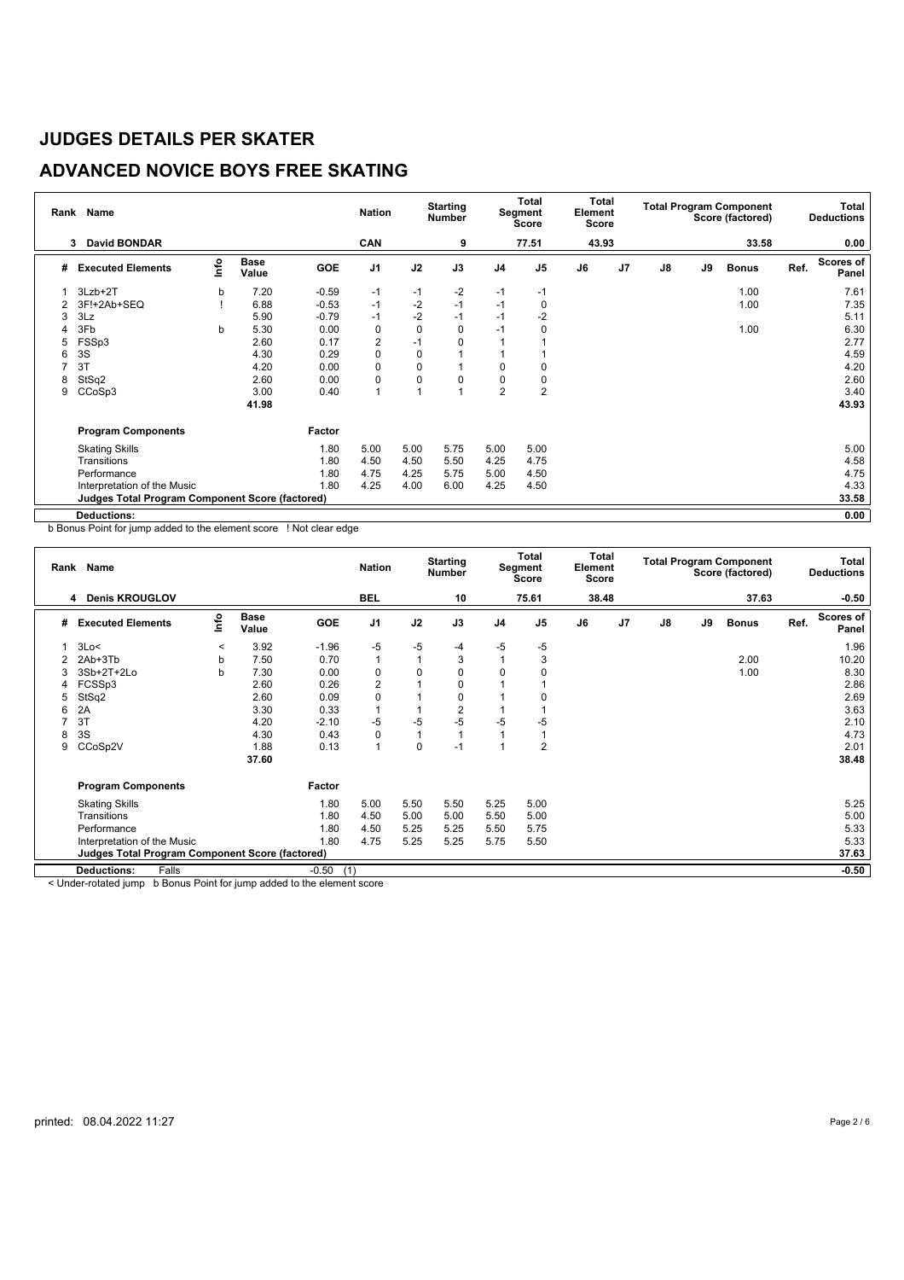# **ADVANCED NOVICE BOYS FREE SKATING**

| Rank | <b>Name</b>                                            |      |                      |            | <b>Nation</b>  |             | <b>Starting</b><br><b>Number</b> |                | Total<br>Segment<br>Score | Total<br>Element<br>Score |                |    |    | <b>Total Program Component</b><br>Score (factored) |      | <b>Total</b><br><b>Deductions</b> |
|------|--------------------------------------------------------|------|----------------------|------------|----------------|-------------|----------------------------------|----------------|---------------------------|---------------------------|----------------|----|----|----------------------------------------------------|------|-----------------------------------|
|      | <b>David BONDAR</b><br>3                               |      |                      |            | CAN            |             | 9                                |                | 77.51                     | 43.93                     |                |    |    | 33.58                                              |      | 0.00                              |
| #    | <b>Executed Elements</b>                               | lnfo | <b>Base</b><br>Value | <b>GOE</b> | J <sub>1</sub> | J2          | J3                               | J <sub>4</sub> | J <sub>5</sub>            | J6                        | J <sub>7</sub> | J8 | J9 | <b>Bonus</b>                                       | Ref. | <b>Scores of</b><br>Panel         |
|      | 3Lzb+2T                                                | b    | 7.20                 | $-0.59$    | -1             | $-1$        | $-2$                             | $-1$           | -1                        |                           |                |    |    | 1.00                                               |      | 7.61                              |
|      | 3F!+2Ab+SEQ                                            |      | 6.88                 | $-0.53$    | $-1$           | $-2$        | $-1$                             | $-1$           | 0                         |                           |                |    |    | 1.00                                               |      | 7.35                              |
| 3    | 3Lz                                                    |      | 5.90                 | $-0.79$    | $-1$           | $-2$        | $-1$                             | $-1$           | $-2$                      |                           |                |    |    |                                                    |      | 5.11                              |
|      | 3Fb                                                    | b    | 5.30                 | 0.00       | 0              | $\mathbf 0$ | 0                                | $-1$           | 0                         |                           |                |    |    | 1.00                                               |      | 6.30                              |
| 5    | FSSp3                                                  |      | 2.60                 | 0.17       | $\overline{2}$ | $-1$        | 0                                |                |                           |                           |                |    |    |                                                    |      | 2.77                              |
| 6    | 3S                                                     |      | 4.30                 | 0.29       | 0              | $\mathbf 0$ |                                  |                |                           |                           |                |    |    |                                                    |      | 4.59                              |
|      | 3T                                                     |      | 4.20                 | 0.00       | $\mathbf 0$    | 0           |                                  | 0              | 0                         |                           |                |    |    |                                                    |      | 4.20                              |
| 8    | StSq2                                                  |      | 2.60                 | 0.00       | 0              | 0           | 0                                | 0              | 0                         |                           |                |    |    |                                                    |      | 2.60                              |
| 9    | CCoSp3                                                 |      | 3.00                 | 0.40       | 1              | 1           |                                  | $\overline{2}$ | $\overline{2}$            |                           |                |    |    |                                                    |      | 3.40                              |
|      |                                                        |      | 41.98                |            |                |             |                                  |                |                           |                           |                |    |    |                                                    |      | 43.93                             |
|      | <b>Program Components</b>                              |      |                      | Factor     |                |             |                                  |                |                           |                           |                |    |    |                                                    |      |                                   |
|      | <b>Skating Skills</b>                                  |      |                      | 1.80       | 5.00           | 5.00        | 5.75                             | 5.00           | 5.00                      |                           |                |    |    |                                                    |      | 5.00                              |
|      | Transitions                                            |      |                      | 1.80       | 4.50           | 4.50        | 5.50                             | 4.25           | 4.75                      |                           |                |    |    |                                                    |      | 4.58                              |
|      | Performance                                            |      |                      | 1.80       | 4.75           | 4.25        | 5.75                             | 5.00           | 4.50                      |                           |                |    |    |                                                    |      | 4.75                              |
|      | Interpretation of the Music                            |      |                      | 1.80       | 4.25           | 4.00        | 6.00                             | 4.25           | 4.50                      |                           |                |    |    |                                                    |      | 4.33                              |
|      | <b>Judges Total Program Component Score (factored)</b> |      |                      |            |                |             |                                  |                |                           |                           |                |    |    |                                                    |      | 33.58                             |
|      | <b>Deductions:</b>                                     |      |                      |            |                |             |                                  |                |                           |                           |                |    |    |                                                    |      | 0.00                              |

b Bonus Point for jump added to the element score ! Not clear edge

| Rank | Name                                                   |             |                      |            | <b>Nation</b>  |                | <b>Starting</b><br><b>Number</b> |                | <b>Total</b><br>Segment<br><b>Score</b> | Total<br>Element<br>Score |                |    |    | <b>Total Program Component</b><br>Score (factored) |      | Total<br><b>Deductions</b> |
|------|--------------------------------------------------------|-------------|----------------------|------------|----------------|----------------|----------------------------------|----------------|-----------------------------------------|---------------------------|----------------|----|----|----------------------------------------------------|------|----------------------------|
|      | <b>Denis KROUGLOV</b><br>4                             |             |                      |            | <b>BEL</b>     |                | 10                               |                | 75.61                                   | 38.48                     |                |    |    | 37.63                                              |      | $-0.50$                    |
| #    | <b>Executed Elements</b>                               | <u>info</u> | <b>Base</b><br>Value | <b>GOE</b> | J <sub>1</sub> | J2             | J3                               | J <sub>4</sub> | J <sub>5</sub>                          | J6                        | J <sub>7</sub> | J8 | J9 | <b>Bonus</b>                                       | Ref. | <b>Scores of</b><br>Panel  |
|      | 3Lo<                                                   | $\,<\,$     | 3.92                 | $-1.96$    | $-5$           | $-5$           | $-4$                             | $-5$           | $-5$                                    |                           |                |    |    |                                                    |      | 1.96                       |
|      | 2Ab+3Tb                                                | b           | 7.50                 | 0.70       | $\mathbf{1}$   | $\overline{1}$ | 3                                |                | 3                                       |                           |                |    |    | 2.00                                               |      | 10.20                      |
| 3    | 3Sb+2T+2Lo                                             | b           | 7.30                 | 0.00       | 0              | 0              | 0                                | $\Omega$       | 0                                       |                           |                |    |    | 1.00                                               |      | 8.30                       |
| 4    | FCSSp3                                                 |             | 2.60                 | 0.26       | $\overline{2}$ |                | 0                                |                |                                         |                           |                |    |    |                                                    |      | 2.86                       |
| 5    | StSq2                                                  |             | 2.60                 | 0.09       | 0              |                | 0                                |                |                                         |                           |                |    |    |                                                    |      | 2.69                       |
| 6    | 2A                                                     |             | 3.30                 | 0.33       | 1              |                | 2                                |                |                                         |                           |                |    |    |                                                    |      | 3.63                       |
|      | 3T                                                     |             | 4.20                 | $-2.10$    | $-5$           | $-5$           | $-5$                             | -5             | $-5$                                    |                           |                |    |    |                                                    |      | 2.10                       |
| 8    | 3S                                                     |             | 4.30                 | 0.43       | 0              | $\mathbf{1}$   |                                  |                |                                         |                           |                |    |    |                                                    |      | 4.73                       |
| 9    | CCoSp2V                                                |             | 1.88                 | 0.13       | $\mathbf{1}$   | 0              | $-1$                             |                | $\overline{2}$                          |                           |                |    |    |                                                    |      | 2.01                       |
|      |                                                        |             | 37.60                |            |                |                |                                  |                |                                         |                           |                |    |    |                                                    |      | 38.48                      |
|      | <b>Program Components</b>                              |             |                      | Factor     |                |                |                                  |                |                                         |                           |                |    |    |                                                    |      |                            |
|      | <b>Skating Skills</b>                                  |             |                      | 1.80       | 5.00           | 5.50           | 5.50                             | 5.25           | 5.00                                    |                           |                |    |    |                                                    |      | 5.25                       |
|      | Transitions                                            |             |                      | 1.80       | 4.50           | 5.00           | 5.00                             | 5.50           | 5.00                                    |                           |                |    |    |                                                    |      | 5.00                       |
|      | Performance                                            |             |                      | 1.80       | 4.50           | 5.25           | 5.25                             | 5.50           | 5.75                                    |                           |                |    |    |                                                    |      | 5.33                       |
|      | Interpretation of the Music                            |             |                      | 1.80       | 4.75           | 5.25           | 5.25                             | 5.75           | 5.50                                    |                           |                |    |    |                                                    |      | 5.33                       |
|      | <b>Judges Total Program Component Score (factored)</b> |             |                      |            |                |                |                                  |                |                                         |                           |                |    |    |                                                    |      | 37.63                      |
|      | Falls<br><b>Deductions:</b>                            |             |                      | $-0.50$    | (1)            |                |                                  |                |                                         |                           |                |    |    |                                                    |      | $-0.50$                    |

< Under-rotated jump b Bonus Point for jump added to the element score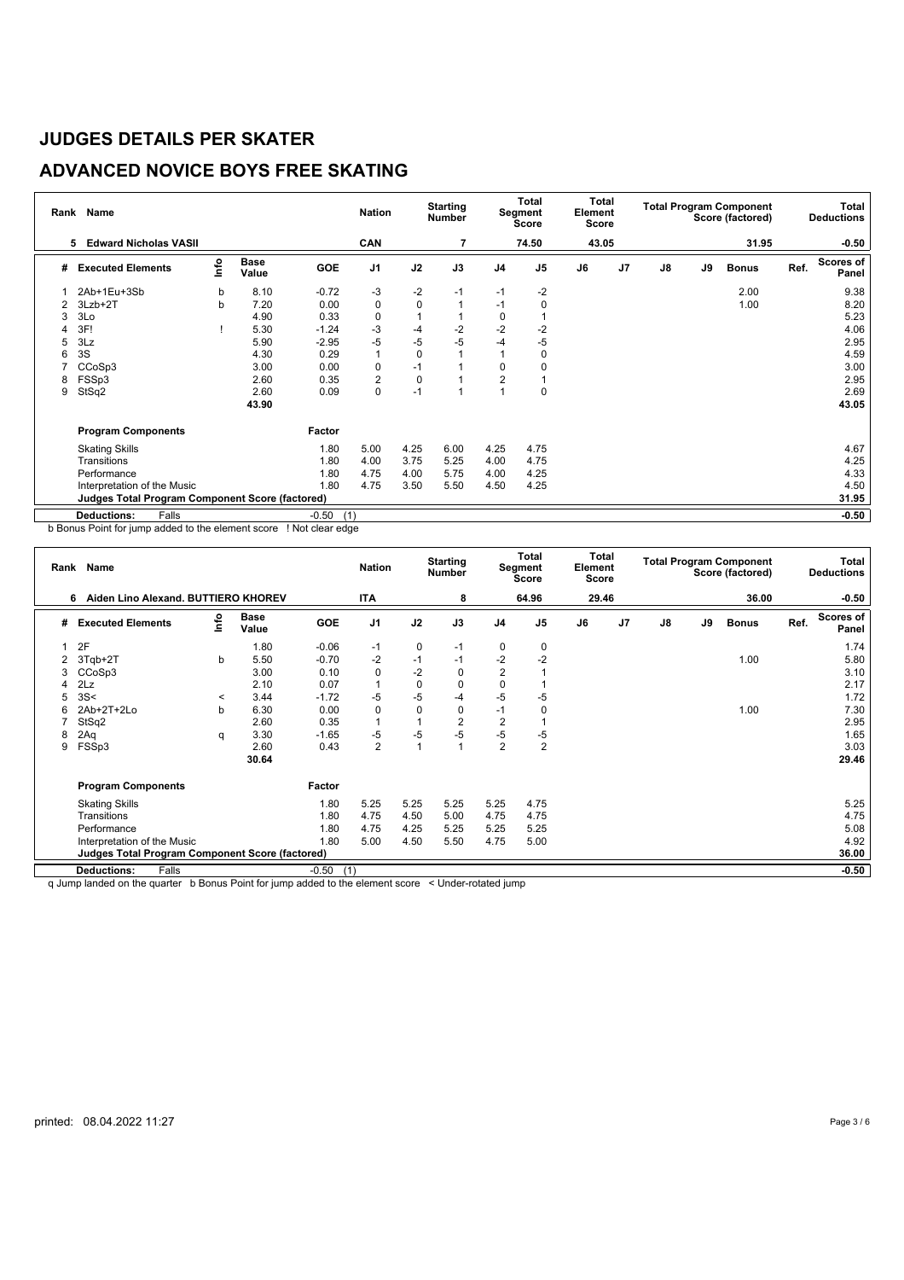## **ADVANCED NOVICE BOYS FREE SKATING**

| Rank | Name                                                            |    |                      |         | <b>Nation</b>           |             | <b>Starting</b><br><b>Number</b> |                | <b>Total</b><br>Segment<br>Score | Total<br>Element<br>Score |                |               |    | <b>Total Program Component</b><br>Score (factored) |      | Total<br><b>Deductions</b> |
|------|-----------------------------------------------------------------|----|----------------------|---------|-------------------------|-------------|----------------------------------|----------------|----------------------------------|---------------------------|----------------|---------------|----|----------------------------------------------------|------|----------------------------|
|      | <b>Edward Nicholas VASII</b><br>5                               |    |                      |         | CAN                     |             |                                  |                | 74.50                            | 43.05                     |                |               |    | 31.95                                              |      | $-0.50$                    |
| #    | <b>Executed Elements</b>                                        | ۴o | <b>Base</b><br>Value | GOE     | J <sub>1</sub>          | J2          | J3                               | J <sub>4</sub> | J <sub>5</sub>                   | J6                        | J <sub>7</sub> | $\mathsf{J}8$ | J9 | <b>Bonus</b>                                       | Ref. | <b>Scores of</b><br>Panel  |
|      | 2Ab+1Eu+3Sb                                                     | b  | 8.10                 | $-0.72$ | $-3$                    | $-2$        | $-1$                             | $-1$           | $-2$                             |                           |                |               |    | 2.00                                               |      | 9.38                       |
|      | $3Lzb+2T$                                                       | b  | 7.20                 | 0.00    | 0                       | $\mathbf 0$ |                                  | $-1$           | 0                                |                           |                |               |    | 1.00                                               |      | 8.20                       |
| 3    | 3Lo                                                             |    | 4.90                 | 0.33    | 0                       |             |                                  | 0              |                                  |                           |                |               |    |                                                    |      | 5.23                       |
|      | 3F!                                                             |    | 5.30                 | $-1.24$ | -3                      | $-4$        | $-2$                             | $-2$           | $-2$                             |                           |                |               |    |                                                    |      | 4.06                       |
| 5    | 3Lz                                                             |    | 5.90                 | $-2.95$ | $-5$                    | -5          | $-5$                             | -4             | $-5$                             |                           |                |               |    |                                                    |      | 2.95                       |
| 6    | 3S                                                              |    | 4.30                 | 0.29    | $\overline{1}$          | $\mathbf 0$ |                                  |                | 0                                |                           |                |               |    |                                                    |      | 4.59                       |
|      | CCoSp3                                                          |    | 3.00                 | 0.00    | 0                       | $-1$        |                                  | 0              |                                  |                           |                |               |    |                                                    |      | 3.00                       |
| 8    | FSSp3                                                           |    | 2.60                 | 0.35    | $\overline{\mathbf{c}}$ | 0           |                                  | $\overline{2}$ |                                  |                           |                |               |    |                                                    |      | 2.95                       |
| 9    | StSq2                                                           |    | 2.60                 | 0.09    | $\mathbf 0$             | $-1$        |                                  |                | $\Omega$                         |                           |                |               |    |                                                    |      | 2.69                       |
|      |                                                                 |    | 43.90                |         |                         |             |                                  |                |                                  |                           |                |               |    |                                                    |      | 43.05                      |
|      | <b>Program Components</b>                                       |    |                      | Factor  |                         |             |                                  |                |                                  |                           |                |               |    |                                                    |      |                            |
|      | <b>Skating Skills</b>                                           |    |                      | 1.80    | 5.00                    | 4.25        | 6.00                             | 4.25           | 4.75                             |                           |                |               |    |                                                    |      | 4.67                       |
|      | Transitions                                                     |    |                      | 1.80    | 4.00                    | 3.75        | 5.25                             | 4.00           | 4.75                             |                           |                |               |    |                                                    |      | 4.25                       |
|      | Performance                                                     |    |                      | 1.80    | 4.75                    | 4.00        | 5.75                             | 4.00           | 4.25                             |                           |                |               |    |                                                    |      | 4.33                       |
|      | Interpretation of the Music                                     |    |                      | 1.80    | 4.75                    | 3.50        | 5.50                             | 4.50           | 4.25                             |                           |                |               |    |                                                    |      | 4.50                       |
|      | 31.95<br><b>Judges Total Program Component Score (factored)</b> |    |                      |         |                         |             |                                  |                |                                  |                           |                |               |    |                                                    |      |                            |
|      | Falls<br><b>Deductions:</b>                                     |    |                      | $-0.50$ | (1)                     |             |                                  |                |                                  |                           |                |               |    |                                                    |      | $-0.50$                    |

b Bonus Point for jump added to the element score ! Not clear edge

|   | Rank Name                                              |         |                      |            | <b>Nation</b>  |      | <b>Starting</b><br><b>Number</b> |                | Total<br>Segment<br>Score | Total<br>Element<br>Score |                |    |    | <b>Total Program Component</b><br>Score (factored) |      | Total<br><b>Deductions</b> |
|---|--------------------------------------------------------|---------|----------------------|------------|----------------|------|----------------------------------|----------------|---------------------------|---------------------------|----------------|----|----|----------------------------------------------------|------|----------------------------|
|   | Aiden Lino Alexand. BUTTIERO KHOREV<br>6               |         |                      |            | ITA            |      | 8                                |                | 64.96                     | 29.46                     |                |    |    | 36.00                                              |      | $-0.50$                    |
| # | <b>Executed Elements</b>                               | lnfo    | <b>Base</b><br>Value | <b>GOE</b> | J <sub>1</sub> | J2   | J3                               | J <sub>4</sub> | J <sub>5</sub>            | J6                        | J <sub>7</sub> | J8 | J9 | <b>Bonus</b>                                       | Ref. | <b>Scores of</b><br>Panel  |
|   | 2F                                                     |         | 1.80                 | $-0.06$    | -1             | 0    | $-1$                             | 0              | 0                         |                           |                |    |    |                                                    |      | 1.74                       |
| 2 | 3Tqb+2T                                                | b       | 5.50                 | $-0.70$    | $-2$           | $-1$ | $-1$                             | $-2$           | $-2$                      |                           |                |    |    | 1.00                                               |      | 5.80                       |
| 3 | CCoSp3                                                 |         | 3.00                 | 0.10       | 0              | $-2$ | 0                                | $\overline{2}$ |                           |                           |                |    |    |                                                    |      | 3.10                       |
|   | 2Lz                                                    |         | 2.10                 | 0.07       | $\mathbf{1}$   | 0    | 0                                | 0              |                           |                           |                |    |    |                                                    |      | 2.17                       |
|   | 3S<                                                    | $\,<\,$ | 3.44                 | $-1.72$    | -5             | $-5$ | -4                               | -5             | $-5$                      |                           |                |    |    |                                                    |      | 1.72                       |
| 6 | 2Ab+2T+2Lo                                             | b       | 6.30                 | 0.00       | 0              | 0    | 0                                | $-1$           |                           |                           |                |    |    | 1.00                                               |      | 7.30                       |
|   | StSq2                                                  |         | 2.60                 | 0.35       | 1              |      | 2                                | $\overline{2}$ |                           |                           |                |    |    |                                                    |      | 2.95                       |
| 8 | 2Aq                                                    | q       | 3.30                 | $-1.65$    | -5             | $-5$ | $-5$                             | -5             | $-5$                      |                           |                |    |    |                                                    |      | 1.65                       |
| 9 | FSSp3                                                  |         | 2.60                 | 0.43       | $\overline{2}$ | 1    |                                  | $\overline{2}$ | $\overline{2}$            |                           |                |    |    |                                                    |      | 3.03                       |
|   |                                                        |         | 30.64                |            |                |      |                                  |                |                           |                           |                |    |    |                                                    |      | 29.46                      |
|   | <b>Program Components</b>                              |         |                      | Factor     |                |      |                                  |                |                           |                           |                |    |    |                                                    |      |                            |
|   | <b>Skating Skills</b>                                  |         |                      | 1.80       | 5.25           | 5.25 | 5.25                             | 5.25           | 4.75                      |                           |                |    |    |                                                    |      | 5.25                       |
|   | Transitions                                            |         |                      | 1.80       | 4.75           | 4.50 | 5.00                             | 4.75           | 4.75                      |                           |                |    |    |                                                    |      | 4.75                       |
|   | Performance                                            |         |                      | 1.80       | 4.75           | 4.25 | 5.25                             | 5.25           | 5.25                      |                           |                |    |    |                                                    |      | 5.08                       |
|   | Interpretation of the Music                            |         |                      | 1.80       | 5.00           | 4.50 | 5.50                             | 4.75           | 5.00                      |                           |                |    |    |                                                    |      | 4.92                       |
|   | <b>Judges Total Program Component Score (factored)</b> |         |                      |            |                |      |                                  |                |                           |                           |                |    |    |                                                    |      | 36.00                      |
|   | <b>Deductions:</b><br>Falls                            |         |                      | $-0.50$    | (1)            |      |                                  |                |                           |                           |                |    |    |                                                    |      | $-0.50$                    |

q Jump landed on the quarter b Bonus Point for jump added to the element score < Under-rotated jump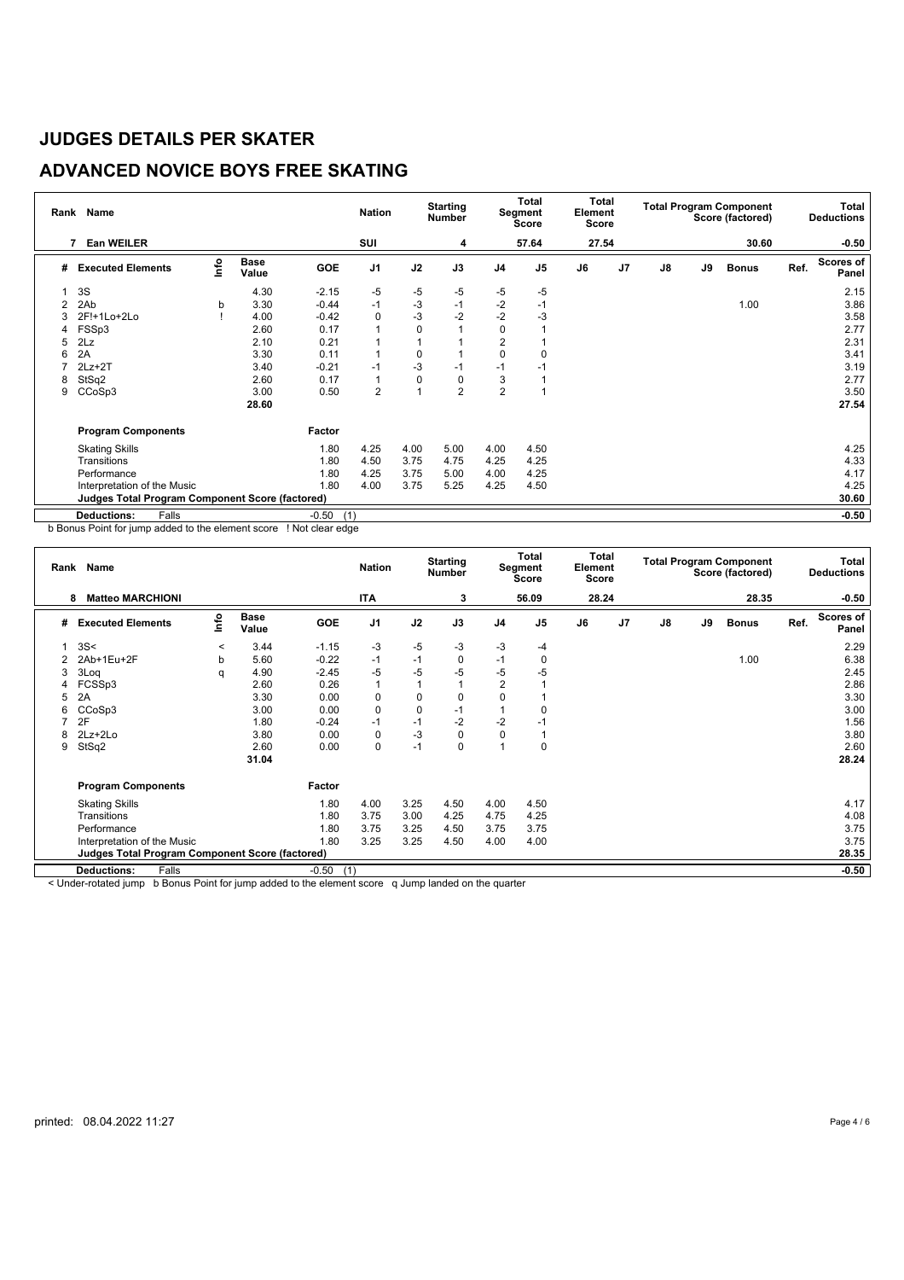## **ADVANCED NOVICE BOYS FREE SKATING**

| Rank | <b>Name</b>                                            |      |                      |                | <b>Nation</b>  |             | <b>Starting</b><br><b>Number</b> |                | Total<br>Segment<br>Score | Total<br>Element<br><b>Score</b> |                |               |    | <b>Total Program Component</b><br>Score (factored) |      | <b>Total</b><br><b>Deductions</b> |
|------|--------------------------------------------------------|------|----------------------|----------------|----------------|-------------|----------------------------------|----------------|---------------------------|----------------------------------|----------------|---------------|----|----------------------------------------------------|------|-----------------------------------|
|      | <b>Ean WEILER</b>                                      |      |                      |                | SUI            |             | 4                                |                | 57.64                     | 27.54                            |                |               |    | 30.60                                              |      | $-0.50$                           |
| #    | <b>Executed Elements</b>                               | lnfo | <b>Base</b><br>Value | <b>GOE</b>     | J <sub>1</sub> | J2          | J3                               | J <sub>4</sub> | J <sub>5</sub>            | J6                               | J <sub>7</sub> | $\mathsf{J}8$ | J9 | <b>Bonus</b>                                       | Ref. | Scores of<br>Panel                |
|      | 3S                                                     |      | 4.30                 | $-2.15$        | -5             | -5          | -5                               | -5             | -5                        |                                  |                |               |    |                                                    |      | 2.15                              |
| 2    | 2Ab                                                    | b    | 3.30                 | $-0.44$        | $-1$           | $-3$        | $-1$                             | $-2$           | $-1$                      |                                  |                |               |    | 1.00                                               |      | 3.86                              |
| 3    | 2F!+1Lo+2Lo                                            |      | 4.00                 | $-0.42$        | 0              | $-3$        | $-2$                             | $-2$           | -3                        |                                  |                |               |    |                                                    |      | 3.58                              |
| 4    | FSSp3                                                  |      | 2.60                 | 0.17           | 1              | $\mathbf 0$ |                                  | 0              |                           |                                  |                |               |    |                                                    |      | 2.77                              |
| 5    | 2Lz                                                    |      | 2.10                 | 0.21           | 1              |             |                                  | $\overline{2}$ |                           |                                  |                |               |    |                                                    |      | 2.31                              |
| 6    | 2A                                                     |      | 3.30                 | 0.11           | $\mathbf{1}$   | 0           |                                  | 0              |                           |                                  |                |               |    |                                                    |      | 3.41                              |
|      | $2Lz+2T$                                               |      | 3.40                 | $-0.21$        | $-1$           | $-3$        | $-1$                             | $-1$           | -1                        |                                  |                |               |    |                                                    |      | 3.19                              |
| 8    | StSq2                                                  |      | 2.60                 | 0.17           | 1              | $\mathbf 0$ | 0                                | 3              |                           |                                  |                |               |    |                                                    |      | 2.77                              |
| 9    | CCoSp3                                                 |      | 3.00                 | 0.50           | $\overline{c}$ |             | $\overline{2}$                   | $\overline{2}$ |                           |                                  |                |               |    |                                                    |      | 3.50                              |
|      |                                                        |      | 28.60                |                |                |             |                                  |                |                           |                                  |                |               |    |                                                    |      | 27.54                             |
|      | <b>Program Components</b>                              |      |                      | Factor         |                |             |                                  |                |                           |                                  |                |               |    |                                                    |      |                                   |
|      | <b>Skating Skills</b>                                  |      |                      | 1.80           | 4.25           | 4.00        | 5.00                             | 4.00           | 4.50                      |                                  |                |               |    |                                                    |      | 4.25                              |
|      | Transitions                                            |      |                      | 1.80           | 4.50           | 3.75        | 4.75                             | 4.25           | 4.25                      |                                  |                |               |    |                                                    |      | 4.33                              |
|      | Performance                                            |      |                      | 1.80           | 4.25           | 3.75        | 5.00                             | 4.00           | 4.25                      |                                  |                |               |    |                                                    |      | 4.17                              |
|      | Interpretation of the Music                            |      |                      | 1.80           | 4.00           | 3.75        | 5.25                             | 4.25           | 4.50                      |                                  |                |               |    |                                                    |      | 4.25                              |
|      | <b>Judges Total Program Component Score (factored)</b> |      |                      |                |                |             |                                  |                |                           |                                  |                |               |    |                                                    |      | 30.60                             |
|      | <b>Deductions:</b><br>Falls                            |      |                      | $-0.50$<br>(1) |                |             |                                  |                |                           |                                  |                |               |    |                                                    |      | $-0.50$                           |

b Bonus Point for jump added to the element score ! Not clear edge

|   | Rank Name                                              |         |                      |         | <b>Nation</b>  |      | <b>Starting</b><br><b>Number</b> |                | <b>Total</b><br>Segment<br><b>Score</b> | Total<br>Element<br><b>Score</b> |                |               |    | <b>Total Program Component</b><br>Score (factored) |      | Total<br><b>Deductions</b> |
|---|--------------------------------------------------------|---------|----------------------|---------|----------------|------|----------------------------------|----------------|-----------------------------------------|----------------------------------|----------------|---------------|----|----------------------------------------------------|------|----------------------------|
|   | <b>Matteo MARCHIONI</b><br>8                           |         |                      |         | ITA            |      | 3                                |                | 56.09                                   | 28.24                            |                |               |    | 28.35                                              |      | $-0.50$                    |
| # | <b>Executed Elements</b>                               | ١nfo    | <b>Base</b><br>Value | GOE     | J <sub>1</sub> | J2   | J3                               | J <sub>4</sub> | J <sub>5</sub>                          | J6                               | J <sub>7</sub> | $\mathsf{J}8$ | J9 | <b>Bonus</b>                                       | Ref. | <b>Scores of</b><br>Panel  |
|   | 3S<                                                    | $\,<\,$ | 3.44                 | $-1.15$ | -3             | $-5$ | -3                               | -3             | -4                                      |                                  |                |               |    |                                                    |      | 2.29                       |
|   | 2Ab+1Eu+2F                                             | b       | 5.60                 | $-0.22$ | $-1$           | $-1$ | 0                                | $-1$           | 0                                       |                                  |                |               |    | 1.00                                               |      | 6.38                       |
| 3 | 3Log                                                   | q       | 4.90                 | $-2.45$ | $-5$           | $-5$ | $-5$                             | $-5$           | -5                                      |                                  |                |               |    |                                                    |      | 2.45                       |
| 4 | FCSSp3                                                 |         | 2.60                 | 0.26    | $\mathbf{1}$   |      | 1                                | 2              |                                         |                                  |                |               |    |                                                    |      | 2.86                       |
| 5 | 2A                                                     |         | 3.30                 | 0.00    | 0              | 0    | 0                                | 0              |                                         |                                  |                |               |    |                                                    |      | 3.30                       |
| 6 | CCoSp3                                                 |         | 3.00                 | 0.00    | $\mathbf 0$    | 0    | $-1$                             |                | 0                                       |                                  |                |               |    |                                                    |      | 3.00                       |
|   | 2F                                                     |         | 1.80                 | $-0.24$ | $-1$           | $-1$ | $-2$                             | $-2$           | $-1$                                    |                                  |                |               |    |                                                    |      | 1.56                       |
| 8 | 2Lz+2Lo                                                |         | 3.80                 | 0.00    | 0              | $-3$ | 0                                | 0              |                                         |                                  |                |               |    |                                                    |      | 3.80                       |
| 9 | StSq2                                                  |         | 2.60                 | 0.00    | $\mathbf 0$    | $-1$ | 0                                | 1              | 0                                       |                                  |                |               |    |                                                    |      | 2.60                       |
|   |                                                        |         | 31.04                |         |                |      |                                  |                |                                         |                                  |                |               |    |                                                    |      | 28.24                      |
|   | <b>Program Components</b>                              |         |                      | Factor  |                |      |                                  |                |                                         |                                  |                |               |    |                                                    |      |                            |
|   | <b>Skating Skills</b>                                  |         |                      | 1.80    | 4.00           | 3.25 | 4.50                             | 4.00           | 4.50                                    |                                  |                |               |    |                                                    |      | 4.17                       |
|   | Transitions                                            |         |                      | 1.80    | 3.75           | 3.00 | 4.25                             | 4.75           | 4.25                                    |                                  |                |               |    |                                                    |      | 4.08                       |
|   | Performance                                            |         |                      | 1.80    | 3.75           | 3.25 | 4.50                             | 3.75           | 3.75                                    |                                  |                |               |    |                                                    |      | 3.75                       |
|   | Interpretation of the Music                            |         |                      | 1.80    | 3.25           | 3.25 | 4.50                             | 4.00           | 4.00                                    |                                  |                |               |    |                                                    |      | 3.75                       |
|   | <b>Judges Total Program Component Score (factored)</b> |         |                      |         |                |      |                                  |                |                                         |                                  |                |               |    |                                                    |      | 28.35                      |
|   | <b>Deductions:</b><br>Falls                            |         |                      | $-0.50$ | (1)            |      |                                  |                |                                         |                                  |                |               |    |                                                    |      | $-0.50$                    |

< Under-rotated jump b Bonus Point for jump added to the element score q Jump landed on the quarter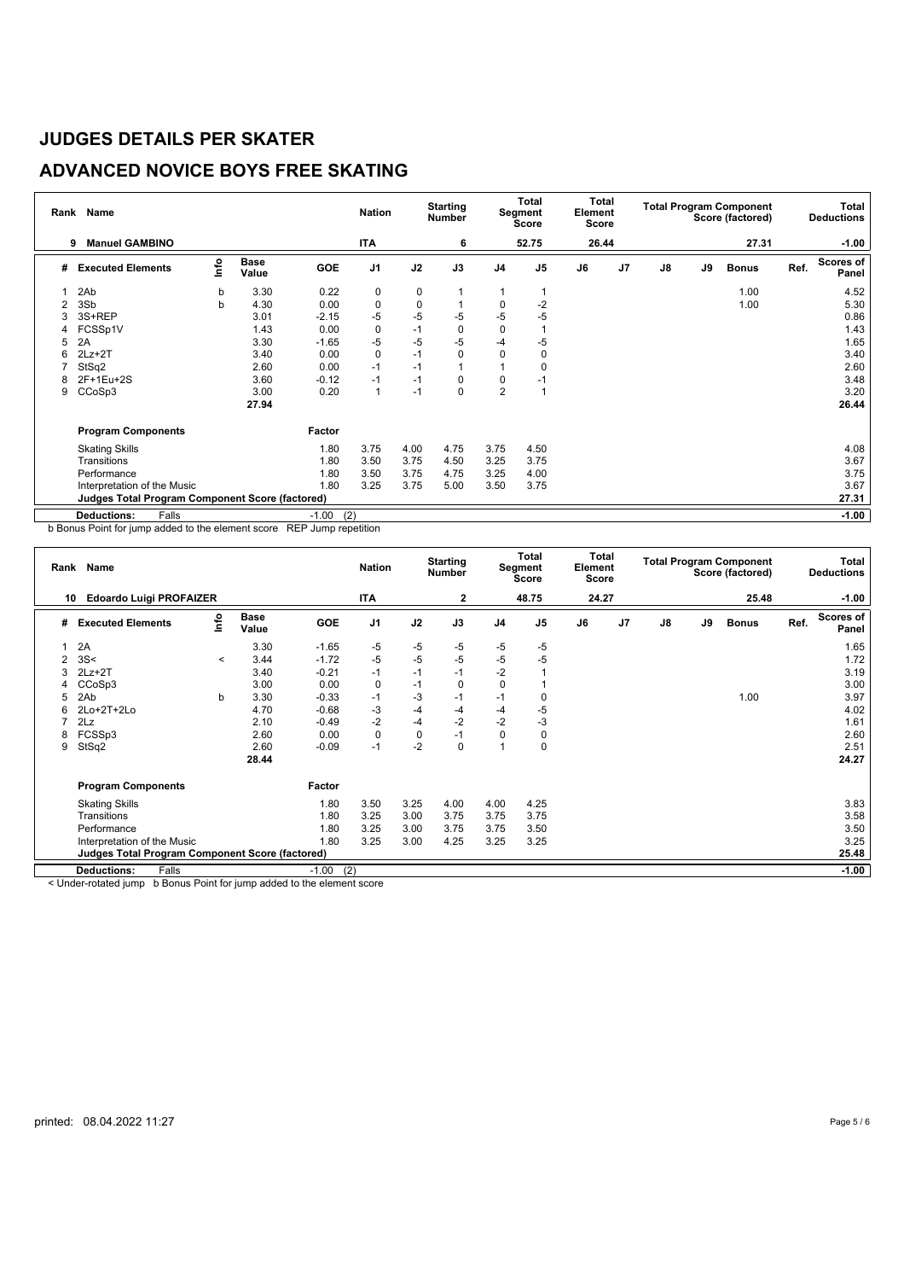## **ADVANCED NOVICE BOYS FREE SKATING**

| Rank | <b>Name</b>                                            |      |                      |                | <b>Nation</b>  |             | <b>Starting</b><br><b>Number</b> |                | Total<br>Segment<br>Score | Total<br>Element<br>Score |                |    |    | <b>Total Program Component</b><br>Score (factored) |      | <b>Total</b><br><b>Deductions</b> |
|------|--------------------------------------------------------|------|----------------------|----------------|----------------|-------------|----------------------------------|----------------|---------------------------|---------------------------|----------------|----|----|----------------------------------------------------|------|-----------------------------------|
|      | <b>Manuel GAMBINO</b><br>9                             |      |                      |                | <b>ITA</b>     |             | 6                                |                | 52.75                     | 26.44                     |                |    |    | 27.31                                              |      | $-1.00$                           |
| #    | <b>Executed Elements</b>                               | lnfo | <b>Base</b><br>Value | <b>GOE</b>     | J <sub>1</sub> | J2          | J3                               | J <sub>4</sub> | J <sub>5</sub>            | J6                        | J <sub>7</sub> | J8 | J9 | <b>Bonus</b>                                       | Ref. | <b>Scores of</b><br>Panel         |
|      | 2Ab                                                    | b    | 3.30                 | 0.22           | 0              | 0           |                                  |                |                           |                           |                |    |    | 1.00                                               |      | 4.52                              |
|      | 3Sb                                                    | b    | 4.30                 | 0.00           | 0              | $\mathbf 0$ |                                  | 0              | $-2$                      |                           |                |    |    | 1.00                                               |      | 5.30                              |
|      | 3S+REP                                                 |      | 3.01                 | $-2.15$        | $-5$           | $-5$        | -5                               | -5             | $-5$                      |                           |                |    |    |                                                    |      | 0.86                              |
|      | FCSSp1V                                                |      | 1.43                 | 0.00           | 0              | $-1$        | $\mathbf 0$                      | 0              |                           |                           |                |    |    |                                                    |      | 1.43                              |
| 5    | 2A                                                     |      | 3.30                 | $-1.65$        | -5             | $-5$        | $-5$                             | -4             | $-5$                      |                           |                |    |    |                                                    |      | 1.65                              |
| 6    | $2Lz + 2T$                                             |      | 3.40                 | 0.00           | $\pmb{0}$      | $-1$        | 0                                | $\mathbf 0$    | 0                         |                           |                |    |    |                                                    |      | 3.40                              |
|      | StSq2                                                  |      | 2.60                 | 0.00           | $-1$           | $-1$        |                                  |                |                           |                           |                |    |    |                                                    |      | 2.60                              |
| 8    | 2F+1Eu+2S                                              |      | 3.60                 | $-0.12$        | $-1$           | $-1$        | 0                                | 0              | -1                        |                           |                |    |    |                                                    |      | 3.48                              |
| 9    | CCoSp3                                                 |      | 3.00                 | 0.20           | $\mathbf{1}$   | $-1$        | 0                                | $\overline{2}$ |                           |                           |                |    |    |                                                    |      | 3.20                              |
|      |                                                        |      | 27.94                |                |                |             |                                  |                |                           |                           |                |    |    |                                                    |      | 26.44                             |
|      | <b>Program Components</b>                              |      |                      | Factor         |                |             |                                  |                |                           |                           |                |    |    |                                                    |      |                                   |
|      | <b>Skating Skills</b>                                  |      |                      | 1.80           | 3.75           | 4.00        | 4.75                             | 3.75           | 4.50                      |                           |                |    |    |                                                    |      | 4.08                              |
|      | Transitions                                            |      |                      | 1.80           | 3.50           | 3.75        | 4.50                             | 3.25           | 3.75                      |                           |                |    |    |                                                    |      | 3.67                              |
|      | Performance                                            |      |                      | 1.80           | 3.50           | 3.75        | 4.75                             | 3.25           | 4.00                      |                           |                |    |    |                                                    |      | 3.75                              |
|      | Interpretation of the Music                            |      |                      | 1.80           | 3.25           | 3.75        | 5.00                             | 3.50           | 3.75                      |                           |                |    |    |                                                    |      | 3.67                              |
|      | <b>Judges Total Program Component Score (factored)</b> |      |                      |                |                |             |                                  |                |                           |                           |                |    |    |                                                    |      | 27.31                             |
|      | <b>Deductions:</b><br>Falls                            |      |                      | (2)<br>$-1.00$ |                |             |                                  |                |                           |                           |                |    |    |                                                    |      | $-1.00$                           |

b Bonus Point for jump added to the element score REP Jump repetition

| Rank | Name                                                                            |         |               |         | <b>Nation</b>  |      | <b>Starting</b><br><b>Number</b> |                | <b>Total</b><br>Segment<br><b>Score</b> | <b>Total</b><br>Element<br>Score |                |               |    | <b>Total Program Component</b><br>Score (factored) |      | Total<br><b>Deductions</b> |
|------|---------------------------------------------------------------------------------|---------|---------------|---------|----------------|------|----------------------------------|----------------|-----------------------------------------|----------------------------------|----------------|---------------|----|----------------------------------------------------|------|----------------------------|
| 10   | <b>Edoardo Luigi PROFAIZER</b>                                                  |         |               |         | ITA            |      | 2                                |                | 48.75                                   | 24.27                            |                |               |    | 25.48                                              |      | $-1.00$                    |
| #    | <b>Executed Elements</b>                                                        | lnfo    | Base<br>Value | GOE     | J <sub>1</sub> | J2   | J3                               | J <sub>4</sub> | J <sub>5</sub>                          | J6                               | J <sub>7</sub> | $\mathsf{J}8$ | J9 | <b>Bonus</b>                                       | Ref. | Scores of<br>Panel         |
|      | 2A                                                                              |         | 3.30          | $-1.65$ | -5             | -5   | -5                               | $-5$           | -5                                      |                                  |                |               |    |                                                    |      | 1.65                       |
|      | 3S<                                                                             | $\,<\,$ | 3.44          | $-1.72$ | $-5$           | $-5$ | $-5$                             | $-5$           | $-5$                                    |                                  |                |               |    |                                                    |      | 1.72                       |
| 3    | $2Lz+2T$                                                                        |         | 3.40          | $-0.21$ | $-1$           | $-1$ | $-1$                             | $-2$           |                                         |                                  |                |               |    |                                                    |      | 3.19                       |
|      | CCoSp3                                                                          |         | 3.00          | 0.00    | 0              | $-1$ | 0                                | $\mathbf 0$    |                                         |                                  |                |               |    |                                                    |      | 3.00                       |
|      | 2Ab                                                                             | b       | 3.30          | $-0.33$ | $-1$           | -3   | $-1$                             | $-1$           | 0                                       |                                  |                |               |    | 1.00                                               |      | 3.97                       |
|      | 2Lo+2T+2Lo                                                                      |         | 4.70          | $-0.68$ | $-3$           | -4   | -4                               | -4             | -5                                      |                                  |                |               |    |                                                    |      | 4.02                       |
|      | 2Lz                                                                             |         | 2.10          | $-0.49$ | $-2$           | -4   | $-2$                             | $-2$           | $-3$                                    |                                  |                |               |    |                                                    |      | 1.61                       |
| 8    | FCSSp3                                                                          |         | 2.60          | 0.00    | 0              | 0    | $-1$                             | 0              | 0                                       |                                  |                |               |    |                                                    |      | 2.60                       |
| 9    | StSq2                                                                           |         | 2.60          | $-0.09$ | $-1$           | $-2$ | 0                                | 4              | 0                                       |                                  |                |               |    |                                                    |      | 2.51                       |
|      |                                                                                 |         | 28.44         |         |                |      |                                  |                |                                         |                                  |                |               |    |                                                    |      | 24.27                      |
|      | <b>Program Components</b>                                                       |         |               | Factor  |                |      |                                  |                |                                         |                                  |                |               |    |                                                    |      |                            |
|      | <b>Skating Skills</b>                                                           |         |               | 1.80    | 3.50           | 3.25 | 4.00                             | 4.00           | 4.25                                    |                                  |                |               |    |                                                    |      | 3.83                       |
|      | Transitions                                                                     |         |               | 1.80    | 3.25           | 3.00 | 3.75                             | 3.75           | 3.75                                    |                                  |                |               |    |                                                    |      | 3.58                       |
|      | Performance                                                                     |         |               | 1.80    | 3.25           | 3.00 | 3.75                             | 3.75           | 3.50                                    |                                  |                |               |    |                                                    |      | 3.50                       |
|      | Interpretation of the Music                                                     |         |               | 1.80    | 3.25           | 3.00 | 4.25                             | 3.25           | 3.25                                    |                                  |                |               |    |                                                    |      | 3.25                       |
|      | <b>Judges Total Program Component Score (factored)</b>                          |         |               |         |                |      |                                  |                |                                         |                                  |                |               |    |                                                    |      | 25.48                      |
|      | <b>Deductions:</b><br>Falls                                                     |         |               | $-1.00$ | (2)            |      |                                  |                |                                         |                                  |                |               |    |                                                    |      | $-1.00$                    |
|      | a Hualan netata di Juga – la Dancia Daint fan Juga a addad ta tha alamant again |         |               |         |                |      |                                  |                |                                         |                                  |                |               |    |                                                    |      |                            |

< Under-rotated jump b Bonus Point for jump added to the element score